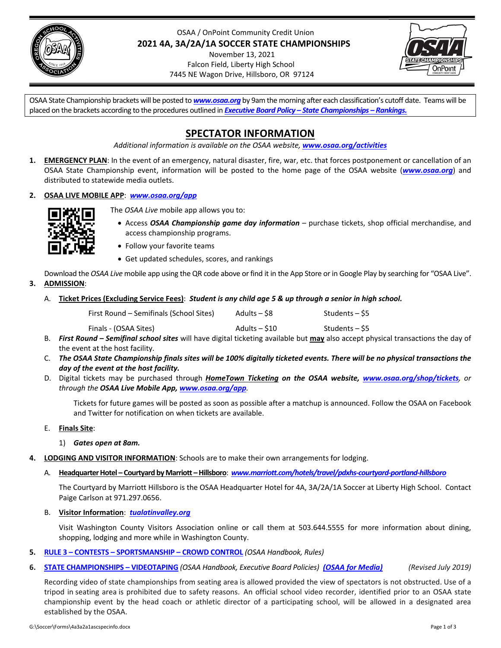

OSAA / OnPoint Community Credit Union **2021 4A, 3A/2A/1A SOCCER STATE CHAMPIONSHIPS** November 13, 2021

Falcon Field, Liberty High School 7445 NE Wagon Drive, Hillsboro, OR 97124



OSAA State Championship brackets will be posted to *<www.osaa.org>* by 9am the morning after each classification's cutoff date. Teams will be placed on the brackets according to the procedures outlined in *Executive Board Policy – State [Championships](http://www.osaa.org/governance/handbooks/osaa#_Toc456100456) – Rankings.*

# **SPECTATOR INFORMATION**

*Additional information is available on the OSAA website, [www.osaa.org/activities](http://www.osaa.org/activities)*

- **1. EMERGENCY PLAN**: In the event of an emergency, natural disaster, fire, war, etc. that forces postponement or cancellation of an OSAA State Championship event, information will be posted to the home page of the OSAA website (*[www.osaa.org](http://www.osaa.org)*) and distributed to statewide media outlets.
- **2. OSAA LIVE MOBILE APP**: *[www.osaa.org/app](http://www.osaa.org/app)*



The *OSAA Live* mobile app allows you to:

- Access *OSAA Championship game day information* purchase tickets, shop official merchandise, and access championship programs.
- Follow your favorite teams
- Get updated schedules, scores, and rankings

Download the *OSAA Live* mobile app using the QR code above or find it in the App Store or in Google Play by searching for "OSAA Live".

- **3. ADMISSION**:
	- A. Ticket Prices (Excluding Service Fees): Student is any child age 5 & up through a senior in high school.

| First Round – Semifinals (School Sites) | Adults – S8   | Students – \$5 |
|-----------------------------------------|---------------|----------------|
| Finals - (OSAA Sites)                   | Adults – \$10 | Students – \$5 |

- B. *First Round – Semifinal school sites* will have digital ticketing available but **may** also accept physical transactions the day of the event at the host facility.
- C. The OSAA State Cha[mpionship](http://www.osaa.org/shop/tickets) finals sites will be 100% digitally ticketed events. There will be no physical transactions the *day of the event at the host facility.*
- D. Digital tickets may be purchased through *HomeTown Ticketing on the OSAA website, www.osaa.org/shop/tickets, or through the OSAA Live Mobile App, www.osaa.org/app.*

Tickets for future games will be posted as soon as possible after a matchup is announced. Follow the OSAA on Facebook and Twitter for notification on when tickets are available.

E. **Finals Site**:

1) *Gates open at 8am.*

- **4. LODGING AND VISITOR INFORMATION**: Schools are to make their own arrangements for lodging.
	- A. **HeadquarterHotel – Courtyard byMarriott –Hillsboro**: *www.marriott.com/hotels/travel/pdxhs‐courtyard‐portland‐hillsboro*

The Courtyard by Marriott Hillsboro is the OSAA Headquarter Hotel for 4A, 3A/2A/1A Soccer at Liberty High School. Contact Paige Carlson at 971.297.0656.

B. **Visitor Information**: *tualatinvalley.org*

Visit Washington County Visitors Association online or call them at 503.644.5555 for more information about dining, shopping, lodging and more while in Washington County.

- **5. RULE 3 – CONTESTS – SPORTSMANSHIP – CROWD CONTROL** *(OSAA Handbook, Rules)*
- 6. **STATE CHAMPIONSHIPS VIDEOTAPING** (OSAA Handbook, [Executive](http://www.marriott.com/hotels/travel/pdxhs-courtyard-portland-hillsboro/) Board Policies) (OSAA for Media) (Revised July 2019)

Recording video of state championships from seating area is allowed provided the view of spectators is not obstructed. Use of a tripod in seating area is prohibited due to safety reasons. An official school video recorder, identified prior to an OSAA state championship event by the head coach or athletic director of a participating school, will be allowed in a designated area established by the OSAA.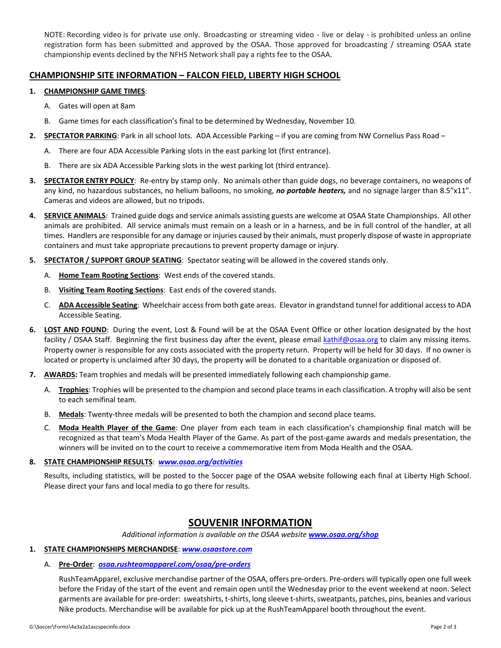NOTE: Recording video is for [private](http://tualatinvalley.org/) use only. Broadcasting or streaming video - live or delay - is prohibited unless an online registration form has been submitted and approved by the OSAA. Those approved for broadcasting / streaming OSAA state championship events declined by the NFHS Network shall pay a rights fee to the OSAA.

# **CHAMPIONSHIP SITE [INFORMATION](http://www.osaa.org/governance/handbooks/osaa#_Toc456100266) – FALCON FIELD, LIBERTY HIGH SCHOOL**

#### **1. [CHAMPIONSHIP](http://www.osaa.org/governance/handbooks/osaa#_Toc456100461) GAME TIMES**:

- A. Gates will open at 8am
- B. Game times for each classification's final to be determined by Wednesday, November 10.
- **2. SPECTATOR PARKING**: Park in all school lots. ADA Accessible Parking if you are coming from NW Cornelius Pass Road
	- A. There are four ADA Accessible Parking slots in the east parking lot (first entrance).
	- B. There are six ADA Accessible Parking slots in the west parking lot (third entrance).
- **3. SPECTATOR ENTRY POLICY**: Re‐entry by stamp only. No animals other than guide dogs, no beverage containers, no weapons of any kind, no hazardous substances, no helium balloons, no smoking, *no portable heaters,* and no signage larger than 8.5"x11". Cameras and videos are allowed, but no tripods.
- **4. SERVICE ANIMALS**: Trained guide dogs and service animals assisting guests are welcome at OSAA State Championships. All other animals are prohibited. All service animals must remain on a leash or in a harness, and be in full control of the handler, at all times. Handlers are responsible for any damage or injuries caused by their animals, must properly dispose of waste in appropriate containers and must take appropriate precautions to prevent property damage or injury.
- **5. SPECTATOR / SUPPORT GROUP SEATING**: Spectator seating will be allowed in the covered stands only.
	- A. **Home Team Rooting Sections**: West ends of the covered stands.
	- B. **Visiting Team Rooting Sections**: East ends of the covered stands.
	- C. **ADA Accessible Seating**: Wheelchair accessfrom both gate areas. Elevator in grandstand tunnel for additional accessto ADA Accessible Seating.
- **6. LOST AND FOUND**: During the event, Lost & Found will be at the OSAA Event Office or other location designated by the host facility / OSAA Staff. Beginning the first business day after the event, please email kathif@osaa.org to claim any missing items. Property owner is responsible for any costs associated with the property return. Property will be held for 30 days. If no owner is located or property is unclaimed after 30 days, the property will be donated to a charitable organization or disposed of.
- **7. AWARDS:** Team trophies and medals will be presented immediately following each championship game.
	- A. **Trophies**: Trophies will be presented to the champion and second place teamsin each classification. A trophy will also be sent to each semifinal team.
	- B. Medals: Twenty-three medals will be presented to both the champion and second place teams.
	- C. **Moda Health Player of the Game**: One player from each team in each classification's championship final match will be recognized as that team's Moda Health Player of the Game. As part of the post‐game awards and medals presentation, the winners will be invited on to the court to receive a commemorative item from Moda Health and the OSAA.

### **8. STATE CHAMPIONSHIP RESULTS**: *www.osaa.org/activities*

Results, including statistics, will be posted to the Soccer page of the OSAA website following each final at Liberty High School. Please direct your fans and local media to go there for results.

# **SOUVENIR INFORMATION**

*Additional information is available on the OSAA website www.osaa.org/shop*

# **1. STATE CHAMPIONSHIPS MERCHANDISE**: *www.osaastore.com*

#### A. **Pre‐Order**:*osaa.rushteamapparel.com/osaa/pre‐orders*

RushTeamApparel, exclusive [merchandise](http://www.osaa.org/activities) partner of the OSAA, offers pre‐orders. Pre‐orders will typically open one full week before the Friday of the start of the event and remain open until the Wednesday prior to the event weekend at noon. Select garments are available for pre-order: sweatshirts, t-shirts, long sleeve t-shirts, sweatpants, patches, pins, beanies and various Nike products. Merchandise will be available for pick up at the RushTeamApparel booth throughout the event.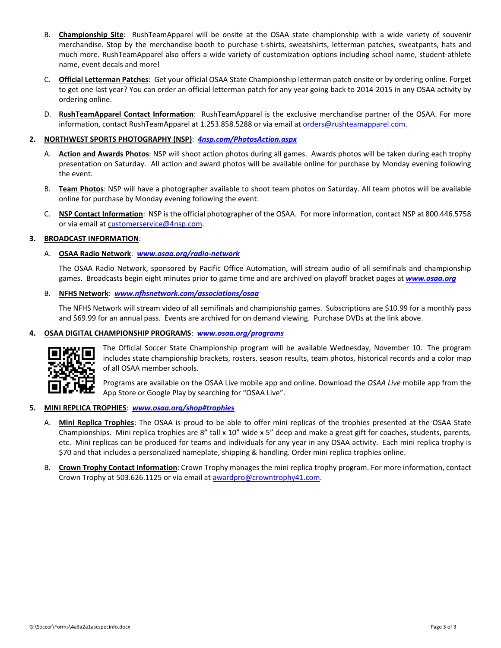- B. **Championship Site**: RushTeamApparel will be onsite at the OSAA state championship with a wide variety of souvenir merchandise. Stop by the merchandise booth to purchase t-shirts, sweatshirts, [letterman](http://www.osaa.org/shop) patches, sweatpants, hats and much more. RushTeamApparel also offers a wide [variety](http://www.osaastore.com) of customization options including school name, student‐athlete name, event decals and more!
- C. **Official Letterman Patches**: Get your official OSAA State [Champions](https://osaa.rushteamapparel.com/osaa/pre-orders/)hip letterman patch onsite or by ordering online. Forget to get one last year? You can order an official letterman patch for any year going back to 2014‐2015 in any OSAA activity by ordering online.
- D. **RushTeamApparel Contact Information**: RushTeamApparel is the exclusive merchandise partner of the OSAA. For more information, contact RushTeamApparel at 1.253.858.5288 or via email at orders@rushteamapparel.com.

## **2. NORTHWEST SPORTS PHOTOGRAPHY (NSP)**: *4nsp.com/PhotosAction.aspx*

- A. **Action and Awards Photos**: NSP will shoot action photos during all games. Awards photos will be taken during each trophy presentation on Saturday. All action and award photos will be available online for purchase by Monday evening following the event.
- B. **Team Photos**: NSP will have a photographer available to shoot team photos on Saturday. All team photos will be available online for purchase by Monday evening following the event.
- C. **NSP Contact Information**: NSP is the official photographer of the OSAA. For more information, contact NSP at 800.446.5758 or via email at customerservice@4nsp.com.

### **3. BROADCAST INFORMATION**:

# A. **OSAA Radio Network**: *www.osaa.org/radio‐network*

The OSAA Radio Network, sponsored by Pacific Office Automation, will stream audio of all semifinals and championship games. Broadcasts begin eight minutes prior to game time and are archived on playoff bracket pages at *www.osaa.org*

### B. **NFHS Network**: *www.nfhsnetwork.com/associations/osaa*

The NFHS Network will stream video of all semifinals and championship games. Subscriptions are \$10.99 for a monthly pass and \$69.99 for an annual pass. Events are archived for on demand viewing. Purchase DVDs at the link above.

## **4. OSAA DIGITAL CHAMPIONSHIP PROGRAMS**: *www.osaa.org/programs*



The Official Soccer State [Championship](http://www.nfhsnetwork.com/associations/osaa) program will be available Wednesday, November 10. The program includes state championship brackets, rosters, season results, team photos, historical records and a color map of all OSAA member schools.

Programs are available on the OSAA Live mobile app and online. Download the *OSAA Live* mobile app from the App Store or Google Play by [searching](http://www.osaa.org/programs) for "OSAA Live".

### **5. MINI REPLICA TROPHIES**: *www.osaa.org/shop#trophies*

- A. **Mini Replica Trophies**: The OSAA is proud to be able to offer mini replicas of the trophies presented at the OSAA State Championships. Mini replica trophies are 8" tall x 10" wide x 5" deep and make a great gift for coaches, students, parents, etc. Mini replicas can be produced for teams and individuals for any year in any OSAA activity. Each mini replica trophy is \$70 and that includes a personalized nameplate, shipping & handling. Order mini replica trophies online.
- B. **Crown Trophy Contact [Information](http://www.osaa.org/shop#trophies)**: Crown Trophy manages the mini replica trophy program. For more information, contact Crown Trophy at 503.626.1125 or via email at awardpro@crowntrophy41.com.